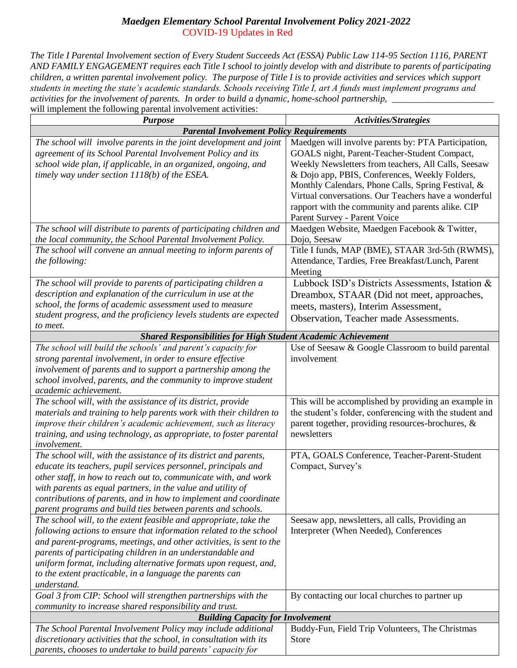## *Maedgen Elementary School Parental Involvement Policy 2021-2022* COVID-19 Updates in Red

*The Title I Parental Involvement section of Every Student Succeeds Act (ESSA) Public Law 114-95 Section 1116, PARENT AND FAMILY ENGAGEMENT requires each Title I school to jointly develop with and distribute to parents of participating children, a written parental involvement policy. The purpose of Title I is to provide activities and services which support students in meeting the state's academic standards. Schools receiving Title I, art A funds must implement programs and activities for the involvement of parents. In order to build a dynamic, home-school partnership, \_\_\_\_\_\_\_\_\_\_\_\_\_\_\_\_\_\_\_\_\_\_* will implement the following parental involvement activities:

| will impressed the following parental involvement activities.<br><b>Purpose</b>                                                                                                                                                                                                                                                                                                                                                                                                   | Activities/Strategies                                                                                                                                                                                                                                                                                                                                                                                                                                                                                                                                                                   |
|-----------------------------------------------------------------------------------------------------------------------------------------------------------------------------------------------------------------------------------------------------------------------------------------------------------------------------------------------------------------------------------------------------------------------------------------------------------------------------------|-----------------------------------------------------------------------------------------------------------------------------------------------------------------------------------------------------------------------------------------------------------------------------------------------------------------------------------------------------------------------------------------------------------------------------------------------------------------------------------------------------------------------------------------------------------------------------------------|
| <b>Parental Involvement Policy Requirements</b>                                                                                                                                                                                                                                                                                                                                                                                                                                   |                                                                                                                                                                                                                                                                                                                                                                                                                                                                                                                                                                                         |
| The school will involve parents in the joint development and joint<br>agreement of its School Parental Involvement Policy and its<br>school wide plan, if applicable, in an organized, ongoing, and<br>timely way under section $1118(b)$ of the ESEA.<br>The school will distribute to parents of participating children and<br>the local community, the School Parental Involvement Policy.<br>The school will convene an annual meeting to inform parents of<br>the following: | Maedgen will involve parents by: PTA Participation,<br>GOALS night, Parent-Teacher-Student Compact,<br>Weekly Newsletters from teachers, All Calls, Seesaw<br>& Dojo app, PBIS, Conferences, Weekly Folders,<br>Monthly Calendars, Phone Calls, Spring Festival, &<br>Virtual conversations. Our Teachers have a wonderful<br>rapport with the community and parents alike. CIP<br>Parent Survey - Parent Voice<br>Maedgen Website, Maedgen Facebook & Twitter,<br>Dojo, Seesaw<br>Title I funds, MAP (BME), STAAR 3rd-5th (RWMS),<br>Attendance, Tardies, Free Breakfast/Lunch, Parent |
| The school will provide to parents of participating children a<br>description and explanation of the curriculum in use at the<br>school, the forms of academic assessment used to measure<br>student progress, and the proficiency levels students are expected<br>to meet.                                                                                                                                                                                                       | Meeting<br>Lubbock ISD's Districts Assessments, Istation &<br>Dreambox, STAAR (Did not meet, approaches,<br>meets, masters), Interim Assessment,<br>Observation, Teacher made Assessments.                                                                                                                                                                                                                                                                                                                                                                                              |
| Shared Responsibilities for High Student Academic Achievement                                                                                                                                                                                                                                                                                                                                                                                                                     |                                                                                                                                                                                                                                                                                                                                                                                                                                                                                                                                                                                         |
| The school will build the schools' and parent's capacity for<br>strong parental involvement, in order to ensure effective<br>involvement of parents and to support a partnership among the<br>school involved, parents, and the community to improve student<br>academic achievement.                                                                                                                                                                                             | Use of Seesaw & Google Classroom to build parental<br>involvement                                                                                                                                                                                                                                                                                                                                                                                                                                                                                                                       |
| The school will, with the assistance of its district, provide<br>materials and training to help parents work with their children to<br>improve their children's academic achievement, such as literacy<br>training, and using technology, as appropriate, to foster parental<br>involvement.                                                                                                                                                                                      | This will be accomplished by providing an example in<br>the student's folder, conferencing with the student and<br>parent together, providing resources-brochures, &<br>newsletters                                                                                                                                                                                                                                                                                                                                                                                                     |
| The school will, with the assistance of its district and parents,<br>educate its teachers, pupil services personnel, principals and<br>other staff, in how to reach out to, communicate with, and work<br>with parents as equal partners, in the value and utility of<br>contributions of parents, and in how to implement and coordinate<br>parent programs and build ties between parents and schools.                                                                          | PTA, GOALS Conference, Teacher-Parent-Student<br>Compact, Survey's                                                                                                                                                                                                                                                                                                                                                                                                                                                                                                                      |
| The school will, to the extent feasible and appropriate, take the<br>following actions to ensure that information related to the school<br>and parent-programs, meetings, and other activities, is sent to the<br>parents of participating children in an understandable and<br>uniform format, including alternative formats upon request, and,<br>to the extent practicable, in a language the parents can<br>understand.                                                       | Seesaw app, newsletters, all calls, Providing an<br>Interpreter (When Needed), Conferences                                                                                                                                                                                                                                                                                                                                                                                                                                                                                              |
| Goal 3 from CIP: School will strengthen partnerships with the                                                                                                                                                                                                                                                                                                                                                                                                                     | By contacting our local churches to partner up                                                                                                                                                                                                                                                                                                                                                                                                                                                                                                                                          |
| community to increase shared responsibility and trust.                                                                                                                                                                                                                                                                                                                                                                                                                            |                                                                                                                                                                                                                                                                                                                                                                                                                                                                                                                                                                                         |
| <b>Building Capacity for Involvement</b>                                                                                                                                                                                                                                                                                                                                                                                                                                          |                                                                                                                                                                                                                                                                                                                                                                                                                                                                                                                                                                                         |
| The School Parental Involvement Policy may include additional<br>discretionary activities that the school, in consultation with its<br>parents, chooses to undertake to build parents' capacity for                                                                                                                                                                                                                                                                               | Buddy-Fun, Field Trip Volunteers, The Christmas<br><b>Store</b>                                                                                                                                                                                                                                                                                                                                                                                                                                                                                                                         |